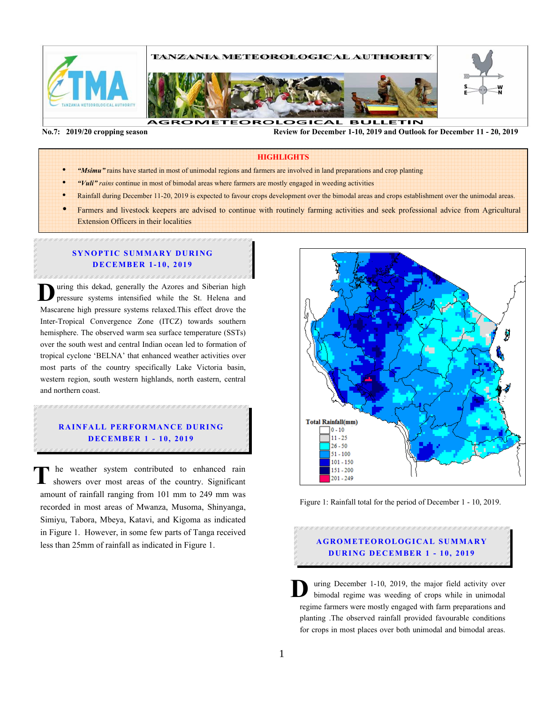

।<br>•

 **No.7: 2019/20 cropping season Review for December 1-10, 2019 and Outlook for December 11 - 20, 2019** 

#### **HIGHLIGHTS**

- *"Msimu"* rains have started in most of unimodal regions and farmers are involved in land preparations and crop planting
- *"Vuli" rains* continue in most of bimodal areas where farmers are mostly engaged in weeding activities
- Rainfall during December 11-20, 2019 is expected to favour crops development over the bimodal areas and crops establishment over the unimodal areas.
- Farmers and livestock keepers are advised to continue with routinely farming activities and seek professional advice from Agricultural Extension Officers in their localities

## **SYNOPTIC SUMMARY DURING D EC EM BER 1- 10, 2019**

uring this dekad, generally the Azores and Siberian high pressure systems intensified while the St. Helena and Mascarene high pressure systems relaxed.This effect drove the Inter-Tropical Convergence Zone (ITCZ) towards southern hemisphere. The observed warm sea surface temperature (SSTs) over the south west and central Indian ocean led to formation of tropical cyclone 'BELNA' that enhanced weather activities over most parts of the country specifically Lake Victoria basin, western region, south western highlands, north eastern, central and northern coast. **D**

# **RAINFALL PERFORMANCE DURING D EC EM BER 1 - 10, 2019**

he weather system contributed to enhanced rain showers over most areas of the country. Significant amount of rainfall ranging from 101 mm to 249 mm was recorded in most areas of Mwanza, Musoma, Shinyanga, Simiyu, Tabora, Mbeya, Katavi, and Kigoma as indicated in Figure 1. However, in some few parts of Tanga received less than 25mm of rainfall as indicated in Figure 1. **T**



Figure 1: Rainfall total for the period of December 1 - 10, 2019.

# **A G RO M ETEO R O LOG ICA L SU M MA RY DURING DECEMBER 1 - 10, 2019**

uring December 1-10, 2019, the major field activity over bimodal regime was weeding of crops while in unimodal regime farmers were mostly engaged with farm preparations and planting .The observed rainfall provided favourable conditions for crops in most places over both unimodal and bimodal areas. **D**

Ι